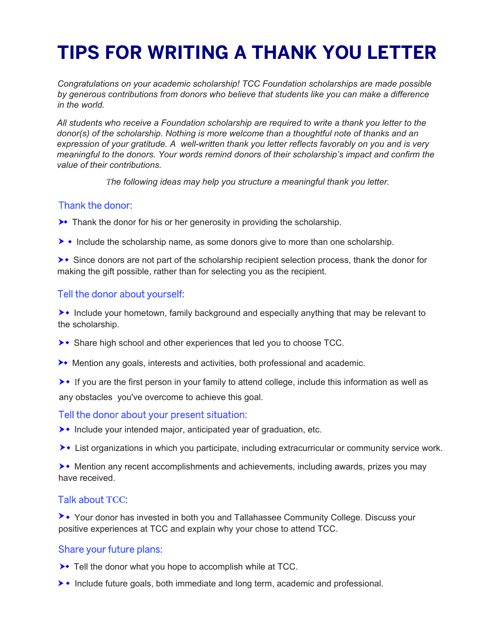# **TIPS FOR WRITING A THANK YOU LETTER**

*Congratulations on your academic scholarship! TCC Foundation scholarships are made possible by generous contributions from donors who believe that students like you can make a difference in the world.* 

*All students who receive a Foundation scholarship are required to write a thank you letter to the donor(s) of the scholarship. Nothing is more welcome than a thoughtful note of thanks and an expression of your gratitude. A well-written thank you letter reflects favorably on you and is very meaningful to the donors. Your words remind donors of their scholarship's impact and confirm the value of their contributions.* 

 *The following ideas may help you structure a meaningful thank you letter.*

### Thank the donor:

- $\rightarrow$  Thank the donor for his or her generosity in providing the scholarship.
- $\rightarrow \bullet$  Include the scholarship name, as some donors give to more than one scholarship.
- $\rightarrow\bullet$  Since donors are not part of the scholarship recipient selection process, thank the donor for making the gift possible, rather than for selecting you as the recipient.

## Tell the donor about yourself:

 $\rightarrow\bullet$  Include your hometown, family background and especially anything that may be relevant to the scholarship.

- ▶ Share high school and other experiences that led you to choose TCC.
- Mention any goals, interests and activities, both professional and academic.

 $\rightarrow\bullet$  If you are the first person in your family to attend college, include this information as well as any obstacles you've overcome to achieve this goal.

### Tell the donor about your present situation:

- ▶ Include your intended major, anticipated year of graduation, etc.
- **Example 3** List organizations in which you participate, including extracurricular or community service work.

**EXECT** Mention any recent accomplishments and achievements, including awards, prizes you may have received.

### Talk about **TCC**:

**▶** Your donor has invested in both you and Tallahassee Community College. Discuss your positive experiences at TCC and explain why your chose to attend TCC.

### Share your future plans:

- ▶ Tell the donor what you hope to accomplish while at TCC.
- $\rightarrow\bullet$  Include future goals, both immediate and long term, academic and professional.